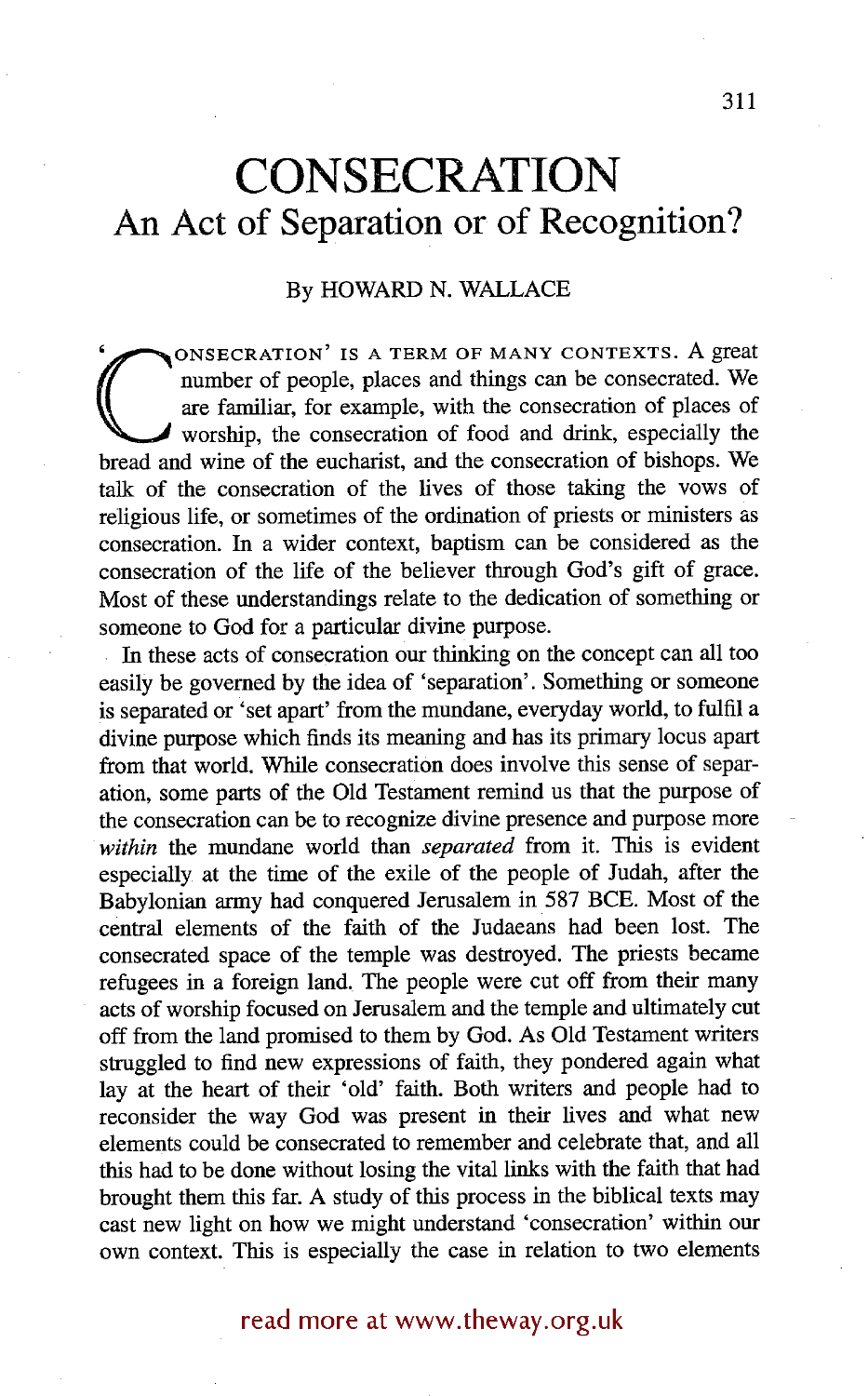# **CONSECRATION An Act of Separation or of Recognition?**

# By HOWARD N. WALLACE

number of people, places and things can be consecrated. We are familiar, for example, with the consecration of places of worship, the consecration of food and drink, especially the bread and wine of the eucharist, and the ONSECRATION' IS A TERM OF MANY CONTEXTS. A great number of people, places and things can be consecrated. We are familiar, for example, with the consecration of places of worship, the consecration of food and drink, especially the talk of the consecration of the lives of those taking the vows of religious life, or sometimes of the ordination of priests or ministers as consecration. In a wider context, baptism can be considered as the consecration of the life of the believer through God's gift of grace. Most of these understandings relate to the dedication of something or someone to God for a particular divine purpose.

In these acts of consecration our thinking on the concept can all too easily be governed by the idea of 'separation'. Something or someone is separated or 'set apart' from the mundane, everyday world, to fulfil a divine purpose which finds its meaning and has its primary locus apart from that world. While consecration does involve this sense of separation, some parts of the Old Testament remind us that the purpose of the consecration can be to recognize divine presence and purpose more *within the* mundane world than *separated* from it. This is evident especially at the time of the exile of the people of Judah, after the Babylonian army had conquered Jerusalem in 587 BCE. Most of the central elements of the faith of the Judaeans had been lost. The consecrated space of the temple was destroyed. The priests became refugees in a foreign land. The people were cut off from their many acts of worship focused on Jerusalem and the temple and ultimately cut off from the land promised to them by God. As Old Testament writers struggled to find new expressions of faith, they pondered again what lay at the heart of their 'old' faith. Both writers and people had to reconsider the way God was present in their lives and what new elements could be consecrated to remember and celebrate that, and all this had to be done without losing the vital links with the faith that had brought them this far. A study of this process in the biblical texts may cast new light on how we might understand 'consecration' within our own context. This is especially the case in relation to two elements

# read more at www.theway.org.uk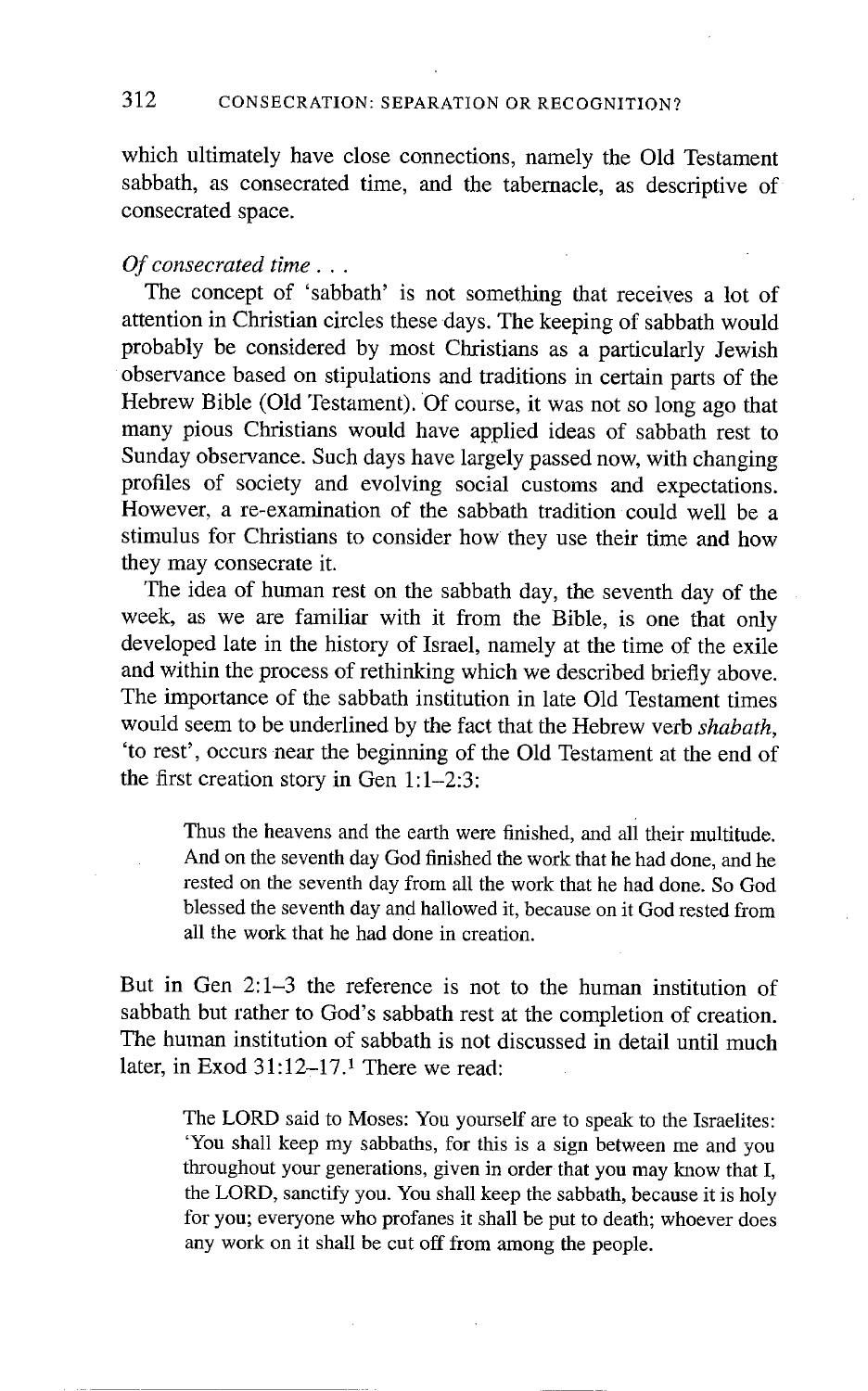which ultimately have close connections, namely the Old Testament sabbath, as consecrated time, and the tabernacle, as descriptive of consecrated space.

#### *Of consecrated time...*

The concept of 'sabbath' is not something that receives a lot of attention in Christian circles these days. The keeping of sabbath would probably be considered by most Christians as a particularly Jewish observance based on stipulations and traditions in certain parts of the Hebrew Bible (Old Testament). Of course, it was not so long ago that many pious Christians would have applied ideas of sabbath rest to Sunday observance. Such days have largely passed now, with changing profiles of society and evolving social customs and expectations. However, a re-examination of the sabbath tradition could well be a stimulus for Christians to consider how they use their time and how they may consecrate it.

The idea of human rest on the sabbath day, the seventh day of the week, as we are familiar with it from the Bible, is one that only developed late in the history of Israel, namely at the time of the exile and within the process of rethinking which we described briefly above. The importance of the sabbath institution in late Old Testament times would seem to be underlined by the fact that the Hebrew verb *shabath,*  'to rest', occurs near the beginning of the Old Testament at the end of the first creation story in Gen 1:1-2:3:

Thus the heavens and the earth were finished, and all their multitude. And on the seventh day God finished the work that he had done, and he rested on the seventh day from all the work that he had done. So God blessed the seventh day and hallowed it, because on it God rested from all the work that he had done in creation.

But in Gen 2:1-3 the reference is not to the human institution of sabbath but rather to God's sabbath rest at the completion of creation. The human institution of sabbath is not discussed in detail until much later, in Exod 31:12-17.1 There we read:

The LORD said to Moses: You yourself are to speak to the Israelites: 'You shall keep my sabbaths, for this is a sign between me and you throughout your generations, given in order that you may know that I, the LORD, sanctify you. You shall keep the sabbath, because it is holy for you; everyone who profanes it shall be put to death; whoever does any work on it shall be cut off from among the people.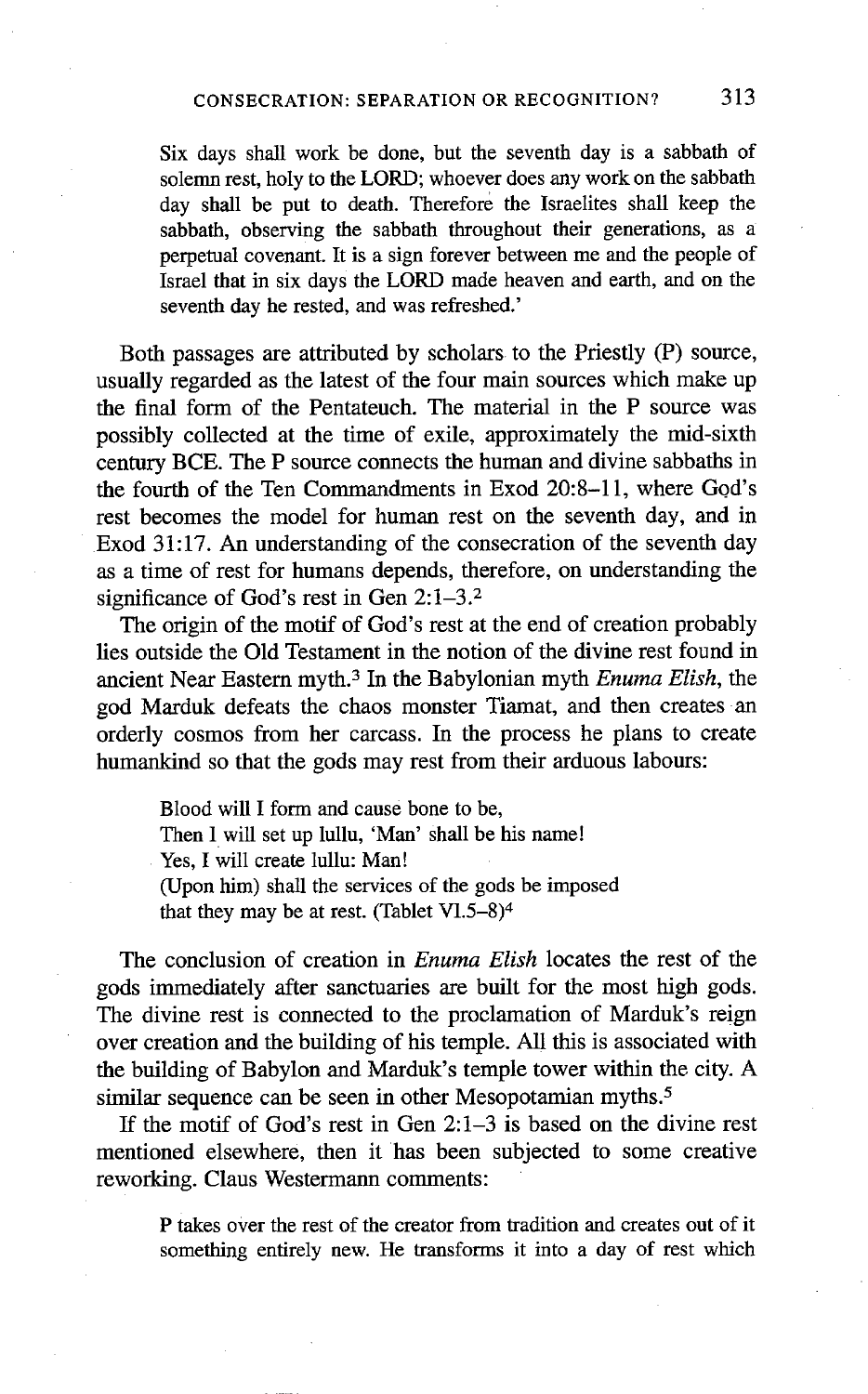Six days shall work be done, but the seventh day is a sabbath of solemn rest, holy to the LORD; whoever does any work on the sabbath day shall be put to death. Therefore the Israelites shall keep the sabbath, observing the sabbath throughout their generations, as a perpetual covenant. It is a sign forever between me and the people of Israel that in six days the LORD made heaven and earth, and on the seventh day he rested, and was refreshed.'

Both passages are attributed by scholars to the Priestly (P) source, usually regarded as the latest of the four main sources which make up the final form of the Pentateuch. The material in the P source was possibly collected at the time of exile, approximately the mid-sixth century BCE. The P source connects the human and divine sabbaths in the fourth of the Ten Commandments in Exod 20:8-11, where God's rest becomes the model for human rest on the seventh day, and in Exod 31:17. An understanding of the consecration of the seventh day as a time of rest for humans depends, therefore, on understanding the significance of God's rest in Gen 2:1-3.<sup>2</sup>

The origin of the motif of God's rest at the end of creation probably lies outside the Old Testament in the notion of the divine rest found in ancient Near Eastern myth. 3 In the Babylonian myth *Enuma Elish, the*  god Marduk defeats the chaos monster Tiamat, and then creates an orderly cosmos from her carcass. In the process he plans to create humankind so that the gods may rest from their arduous labours:

Blood will I form and cause bone to be, Then I will set up lullu, 'Man' shall be his name! Yes, I will create lullu: Man! (Upon him) shall the services of the gods be imposed that they may be at rest. (Tablet VI.5-8)<sup>4</sup>

The conclusion of creation in *Enuma Elish* locates the rest of the gods immediately after sanctuaries are built for the most high gods. The divine rest is connected to the proclamation of Marduk's reign over creation and the building of his temple. All this is associated with the building of Babylon and Marduk's temple tower within the city. A similar sequence can be seen in other Mesopotamian myths.<sup>5</sup>

If the motif of God's rest in Gen 2:1-3 is based on the divine rest mentioned elsewhere, then it has been subjected to some creative reworking. Claus Westermann comments:

P takes over the rest of the creator from tradition and creates out of it something entirely new. He transforms it into a day of rest which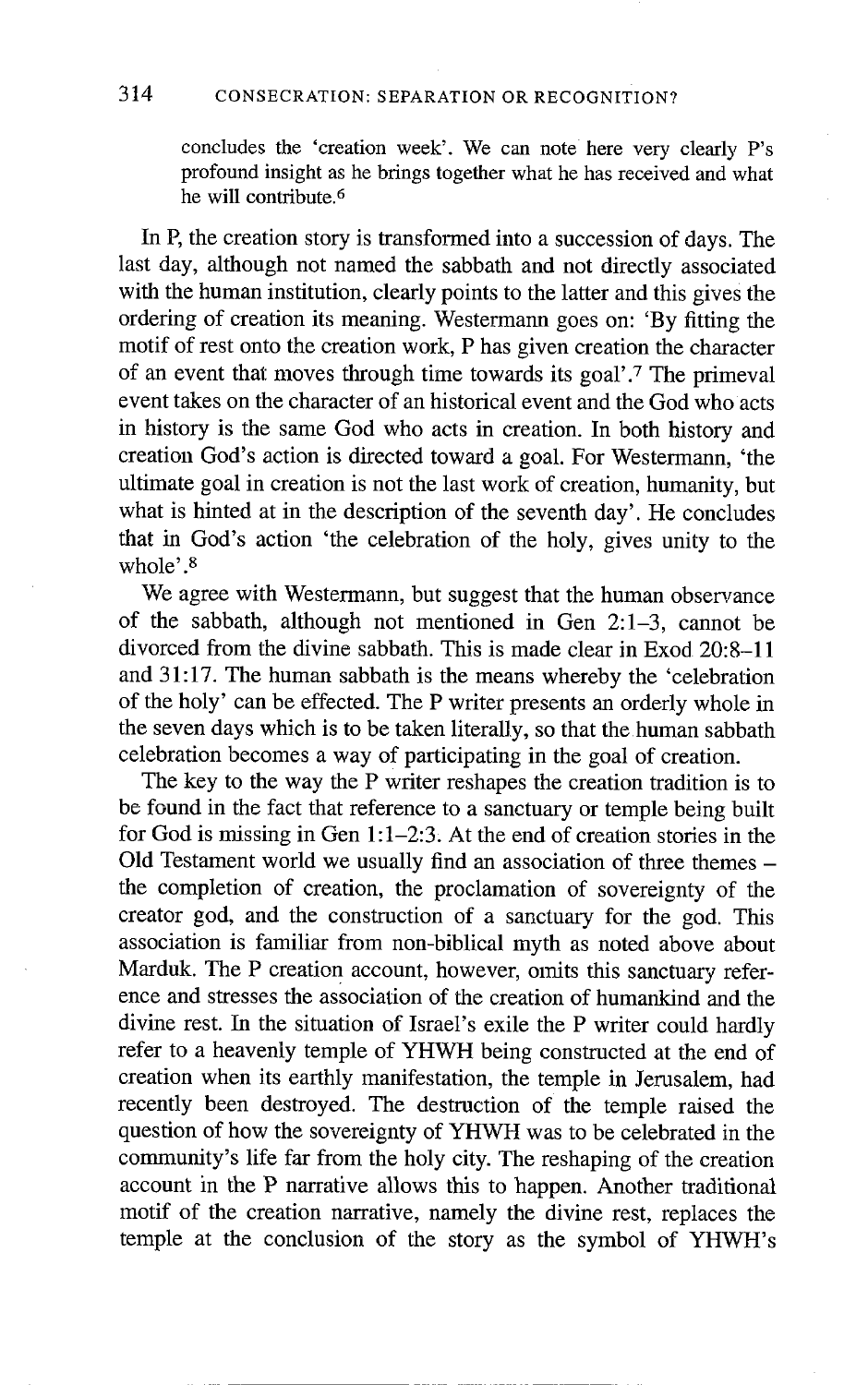concludes the 'creation week'. We can note here very clearly P's profound insight as he brings together what he has received and what he will contribute. 6

In P, the creation story is transformed into a succession of days. The last day, although not named the sabbath and not directly associated with the human institution, clearly points to the latter and this gives the ordering of creation its meaning. Westermann goes on: 'By fitting the motif of rest onto the creation work, P has given creation the character of an event that moves through time towards its goal'.<sup>7</sup> The primeval event takes on the character of an historical event and the God who acts in history is the same God who acts in creation. In both history and creation God's action is directed toward a goal. For Westermann, 'the ultimate goal in creation is not the last work of creation, humanity, but what is hinted at in the description of the seventh day'. He concludes that in God's action 'the celebration of the holy, gives unity to the whole $^{\prime}$   $^8$ 

We agree with Westermann, but suggest that the human observance of the sabbath, although not mentioned in Gen 2:1-3, cannot be divorced from the divine sabbath. This is made clear in Exod 20:8-11 and 31:17. The human sabbath is the means whereby the 'celebration of the holy' can be effected. The P writer presents an orderly whole in the seven days which is to be taken literally, so that the human sabbath celebration becomes a way of participating in the goal of creation.

The key to the way the P writer reshapes the creation tradition is to be found in the fact that reference to a sanctuary or temple being built for God is missing in Gen  $1:1-2:3$ . At the end of creation stories in the Old Testament world we usually find an association of three themes the completion of creation, the proclamation of sovereignty of the creator god, and the construction of a sanctuary for the god. This association is familiar from non-biblical myth as noted above about Marduk. The P creation account, however, omits this sanctuary reference and stresses the association of the creation of humankind and the divine rest. In the situation of Israel's exile the P writer could hardly refer to a heavenly temple of YHWH being constructed at the end of creation when its earthly manifestation, the temple in Jerusalem, had recently been destroyed. The destruction of the temple raised the question of how the sovereignty of YHWH was to be celebrated in the community's life far from the holy city. The reshaping of the creation account in the P narrative allows this to happen. Another traditional motif of the creation narrative, namely the divine rest, replaces the temple at the conclusion of the story as the symbol of YHWH's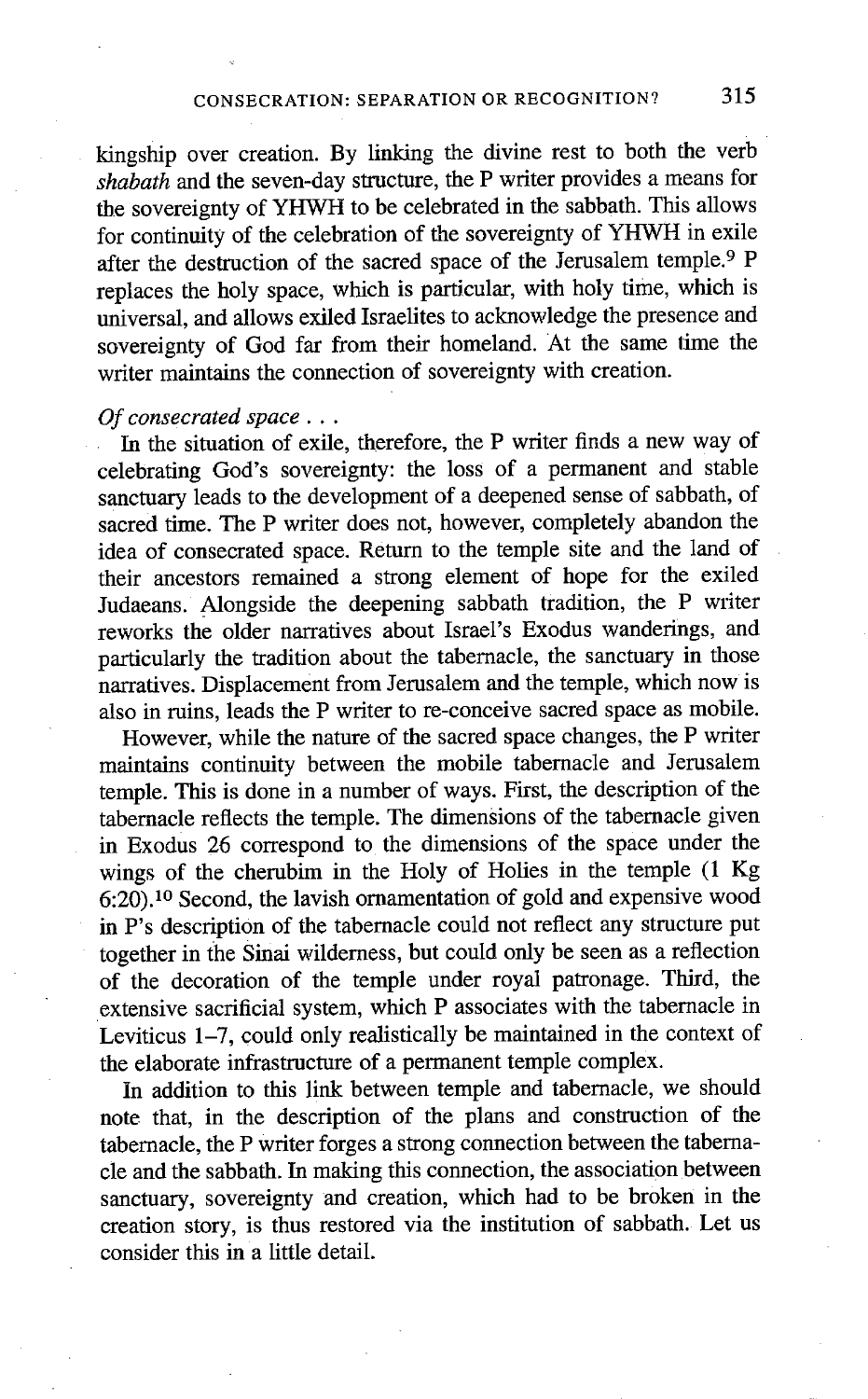kingship over creation. By linking the divine rest to both the verb *shabath* and the seven-day structure, the P writer provides a means for the sovereignty of YHWH to be celebrated in the sabbath. This allows for continuity of the celebration of the sovereignty of YHWH in exile after the destruction of the sacred space of the Jerusalem temple.<sup>9</sup> P replaces the holy space, which is particular, with holy time, which is universal, and allows exiled Israelites to acknowledge the presence and sovereignty of God far from their homeland. At the same time the writer maintains the connection of sovereignty with creation.

### *Of consecrated space...*

In the situation of exile, therefore, the P writer finds a new way of celebrating God's sovereignty: the loss of a permanent and stable sanctuary leads to the development of a deepened sense of sabbath, of sacred time. The P writer does not, however, completely abandon the idea of consecrated space. Return to the temple site and the land of their ancestors remained a strong element of hope for the exiled Judaeans. Alongside the deepening sabbath tradition, the P writer reworks the older narratives about Israel's Exodus wanderings, and particularly the tradition about the tabernacle, the sanctuary in those narratives. Displacement from Jerusalem and the temple, which now is also in ruins, leads the P writer to re-conceive sacred space as mobile.

However, while the nature of the sacred space changes, the P writer maintains continuity between the mobile tabernacle and Jerusalem temple. This is done in a number of ways. First, the description of the tabernacle reflects the temple. The dimensions of the tabernacle given in Exodus 26 correspond to the dimensions of the space under the wings of the cherubim in the Holy of Holies in the temple (1 Kg 6:20). 1° Second, the lavish ornamentation of gold and expensive wood in P's description of the tabernacle could not reflect any structure put together in the Sinai wilderness, but could only be seen as a reflection of the decoration of the temple under royal patronage. Third, the extensive sacrificial system, which P associates with the tabernacle in Leviticus 1-7, could only realistically be maintained in the context of the elaborate infrastructure of a permanent temple complex.

In addition to this link between temple and tabernacle, we should note that, in the description of the plans and construction of the tabernacle, the P writer forges a strong connection between the tabemacle and the sabbath. In making this connection, the association between sanctuary, sovereignty and creation, which had to be broken in the creation story, is thus restored via the institution of sabbath. Let us consider this in a little detail.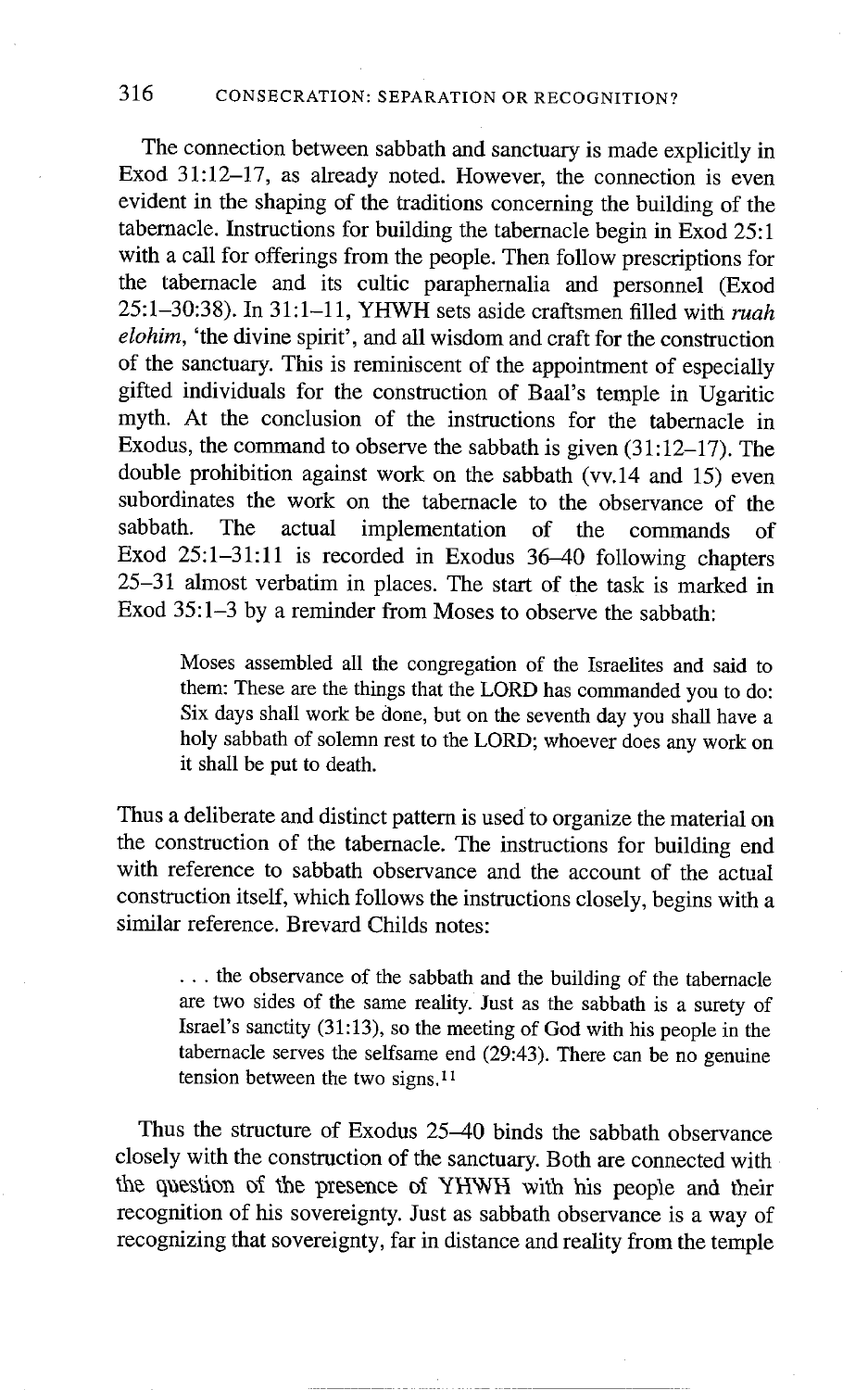# 316 CONSECRATION: SEPARATION OR RECOGNITION?

The connection between sabbath and sanctuary is made explicitly in Exod 31:12-17, as already noted. However, the connection is even evident in the shaping of the traditions concerning the building of the tabernacle. Instructions for building the tabernacle begin in Exod 25:1 with a call for offerings from the people. Then follow prescriptions for the tabernacle and its cultic paraphernalia and personnel (Exod 25:1-30:38). In 31:1-11, YHWH sets aside craftsmen filled with *ruah eIohim,* 'the divine spirit', and all wisdom and craft for the construction of the sanctuary. This is reminiscent of the appointment of especially gifted individuals for the construction of Baal's temple in Ugaritic myth. At the conclusion of the instructions for the tabernacle in Exodus, the command to observe the sabbath is given  $(31:12-17)$ . The double prohibition against work on the sabbath (vv.14 and 15) even subordinates the work on the tabernacle to the observance of the sabbath. The actual implementation of the commands of Exod 25:1-31:11 is recorded in Exodus 36-40 following chapters 25-31 almost verbatim in places. The start of the task is marked in Exod 35:1-3 by a reminder from Moses to observe the sabbath:

Moses assembled all the congregation of the Israelites and said to them: These are the things that the LORD has commanded you to do: Six days shall work be done, but on the seventh day you shall have a holy sabbath of solemn rest to the LORD; whoever does any work on it shall be put to death.

Thus a deliberate and distinct pattern is used to organize the material on the construction of the tabernacle. The instructions for building end with reference to sabbath observance and the account of the actual construction itself, which follows the instructions closely, begins with a similar reference. Brevard Childs notes:

... the observance of the sabbath and the building of the tabernacle are two sides of the same reality. Just as the sabbath is a surety of Israel's sanctity (31:13), so the meeting of God with his people in the tabernacle serves the selfsame end (29:43). There can be no genuine tension between the two signs,<sup>11</sup>

Thus the structure of Exodus 25-40 binds the sabbath observance closely with the construction of the sanctuary. Both are connected with the question of the presence of YHWH with his people and their recognition of his sovereignty. Just as sabbath observance is a way of recognizing that sovereignty, far in distance and reality from the temple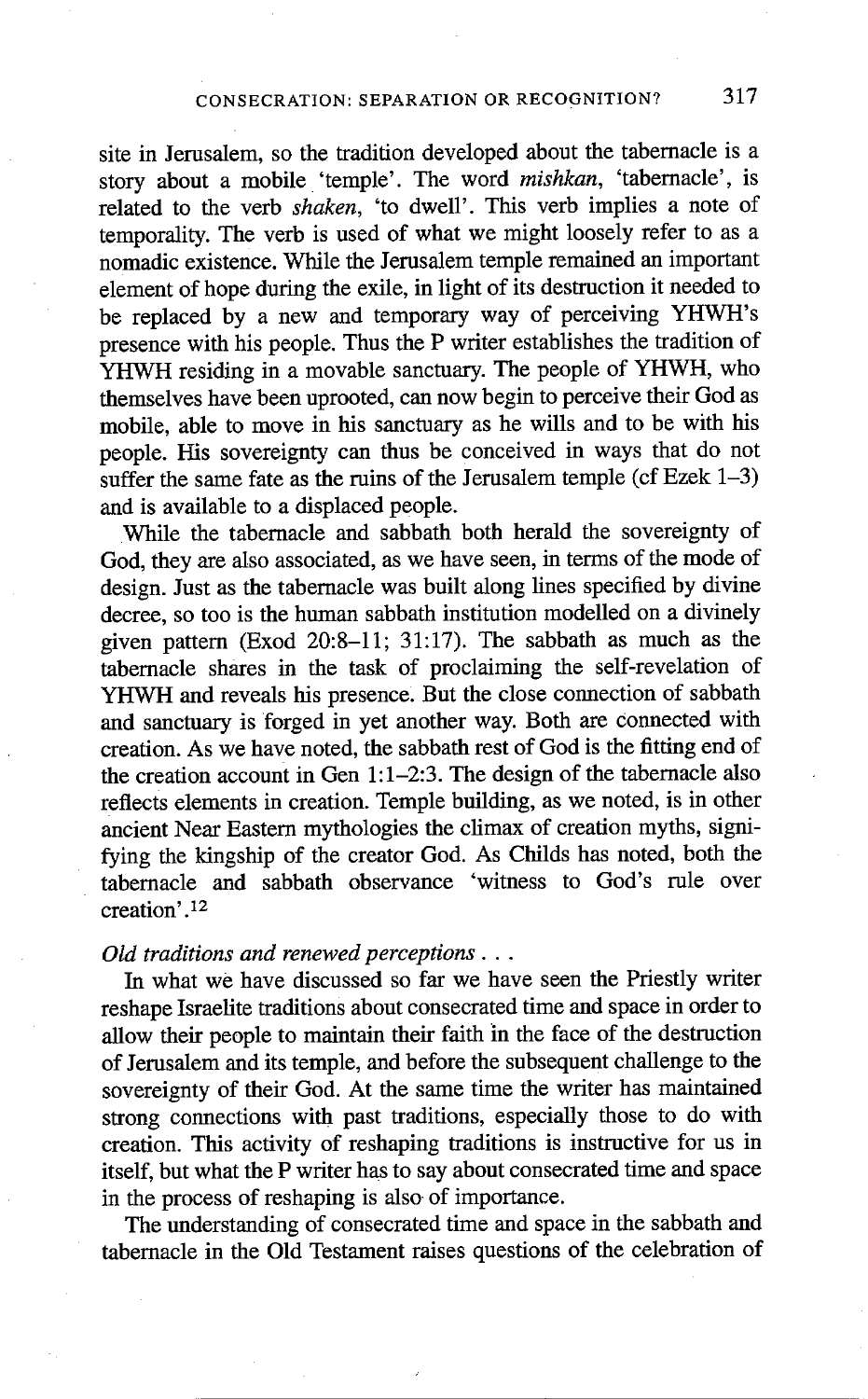site in Jerusalem, so the tradition developed about the tabernacle is a story about a mobile 'temple'. The word *mishkan,* 'tabernacle', is related to the verb *shaken,* 'to dwell'. This verb implies a note of temporality. The verb is used of what we might loosely refer to as a nomadic existence. While the Jerusalem temple remained an important element of hope during the exile, in light of its destruction it needed to be replaced by a new and temporary way of perceiving YHWH's presence with his people. Thus the P writer establishes the tradition of YHWH residing in a movable sanctuary. The people of YHWH, who themselves have been uprooted, can now begin to perceive their God as mobile, able to move in his sanctuary as he wills and to be with his people. His sovereignty can thus be conceived in ways that do not suffer the same fate as the ruins of the Jerusalem temple (cf Ezek  $1-3$ ) and is available to a displaced people.

While the tabernacle and sabbath both herald the sovereignty of God, they are also associated, as we have seen, in terms of the mode of design. Just as the tabernacle was built along lines specified by divine decree, so too is the human sabbath institution modelled on a divinely given pattern (Exod 20:8-11; 31:17). The sabbath as much as the tabernacle shares in the task of proclaiming the self-revelation of YHWH and reveals his presence. But the close connection of sabbath and sanctuary is forged in yet another way. Both are Connected with creation. As we have noted, the sabbath rest of God is the fitting end of the creation account in Gen 1:1-2:3. The design of the tabernacle also reflects dements in creation. Temple building, as we noted, is in other ancient Near Eastern mythologies the climax of creation myths, signifying the kingship of the creator God. As Childs has noted, both the tabernacle and sabbath observance 'witness to God's rule over creation'. 12

### *Old traditions and renewed perceptions...*

In what we have discussed so far we have seen the Priestly writer reshape Israelite traditions about consecrated time and space in order to allow their people to maintain their faith in the face of the destruction of Jerusalem and its temple, and before the subsequent challenge to the sovereignty of their God. At the same time the writer has maintained strong connections with past traditions, especially those to do with creation. This activity of reshaping traditions is instructive for us in itself, but what the P writer has to say about consecrated time and space in the process of reshaping is also of importance.

The understanding of consecrated time and space in the sabbath and tabemacle in the Old Testament raises questions of the celebration of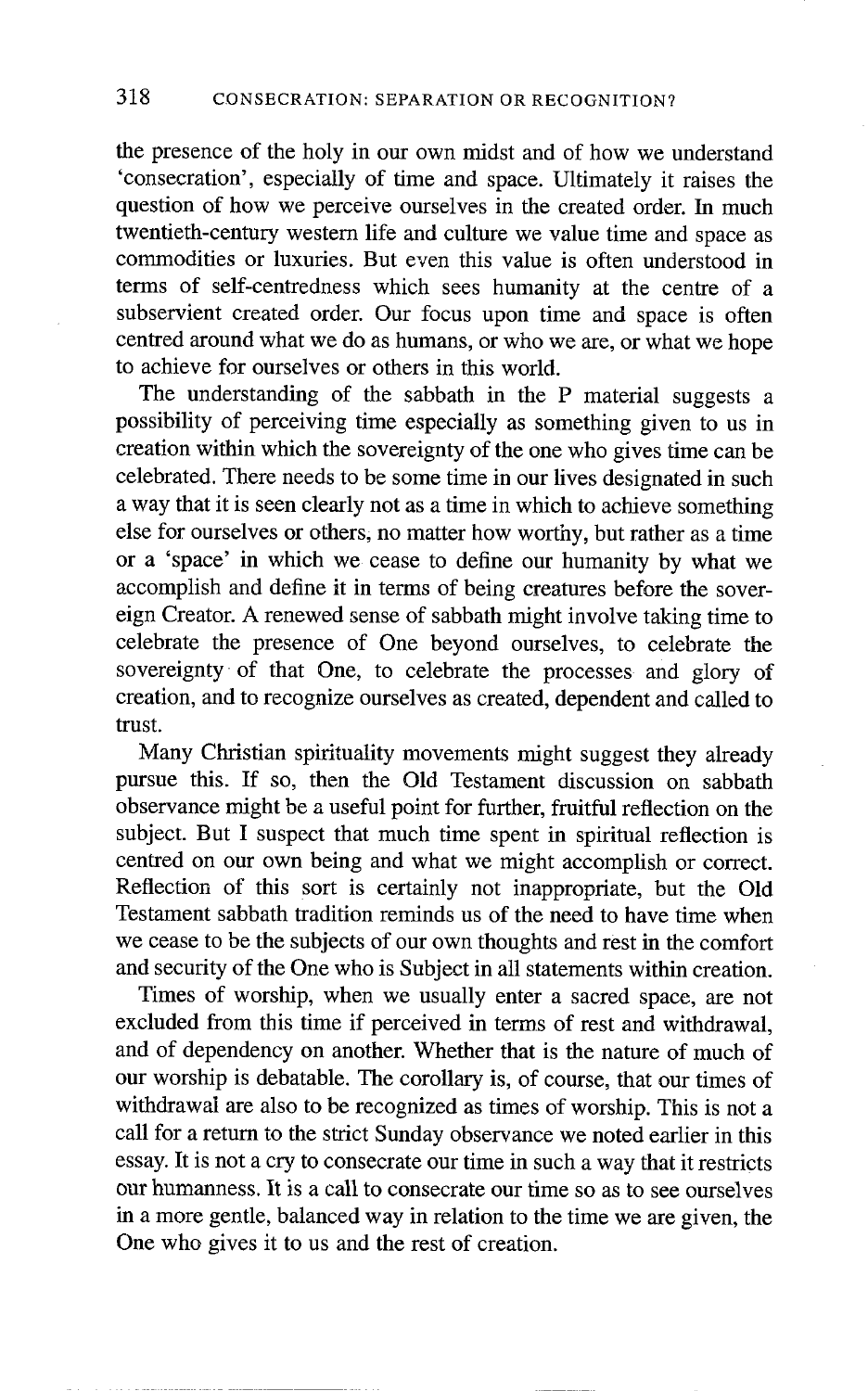the presence of the holy in our own midst and of how we understand 'consecration', especially of time and space. Ultimately it raises the question of how we perceive ourselves in the created order. In much twentieth-century western life and culture we value time and space as commodities or luxuries. But even this value is often understood in terms of self-centredness which sees humanity at the centre of a subservient created order. Our focus upon time and space is often centred around what we do as humans, or who we are, or what we hope to achieve for ourselves or others in this world.

The understanding of the sabbath in the P material suggests a possibility of perceiving time especially as something given to us in creation within which the sovereignty of the one who gives time can be celebrated. There needs to be some time in our lives designated in such a way that it is seen clearly not as a time in which to achieve something else for ourselves or others, no matter how worthy, but rather as a time or a 'space' in which we cease to define our humanity by what we accomplish and define it in terms of being creatures before the sovereign Creator. A renewed sense of sabbath might involve taking time to celebrate the presence of One beyond ourselves, to celebrate the sovereignty of that One, to celebrate the processes and glory of creation, and to recognize ourselves as created, dependent and called to trust.

Many Christian spirituality movements might suggest they already pursue this. If so, then the Old Testament discussion on sabbath observance might be a useful point for further, fruitful reflection on the subject. But I suspect that much time spent in spiritual reflection is centred on our own being and what we might accomplish or correct. Reflection of this sort is certainly not inappropriate, but the Old Testament sabbath tradition reminds us of the need to have time when we cease to be the subjects of our own thoughts and rest in the comfort and security of the One who is Subject in all statements within creation.

Times of worship, when we usually enter a sacred space, are not excluded from this time if perceived in terms of rest and withdrawal, and of dependency on another. Whether that is the nature of much of our worship is debatable. The corollary is, of course, that our times of withdrawal are also to be recognized as times of worship. This is not a call for a return to the strict Sunday observance we noted earlier in this essay. It is not a cry to consecrate our time in such a way that it restricts our humanness. It is a call to consecrate our time so as to see ourselves in a more gentle, balanced way in relation to the time we are given, the One who gives it to us and the rest of creation.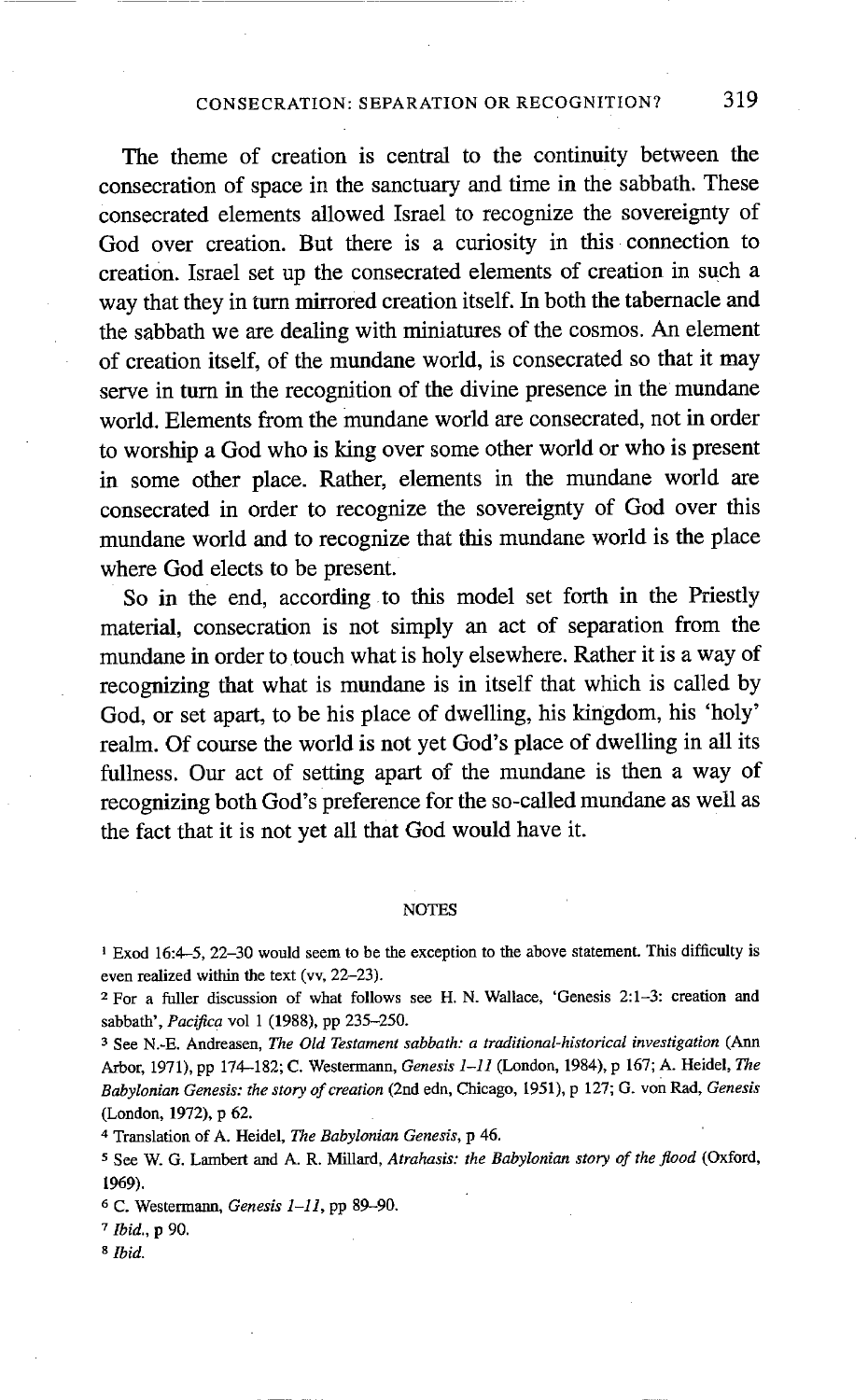#### CONSECRATION: SEPARATION OR RECOGNITION? 319

The theme of creation is central to the continuity between the consecration of space in the sanctuary and time in the sabbath. These consecrated elements allowed Israel to recognize the sovereignty of God over creation. But there is a curiosity in this connection to creation. Israel set up the consecrated elements of creation in such a way that they in turn mirrored creation itself. In both the tabernacle and the sabbath we are dealing with miniatures of the cosmos. An element of creation itself, of the mundane world, is consecrated so that it may serve in turn in the recognition of the divine presence in the mundane world. Elements from the mundane world are consecrated, not in order to worship a God who is king over some other world or who is present in some other place. Rather, dements in the mundane world are consecrated in order to recognize the sovereignty of God over this mundane world and to recognize that this mundane world is the place where God elects to be present.

So in the end, according to this model set forth in the Priestly material, consecration is not simply an act of separation from the mundane in order to touch what is holy elsewhere. Rather it is a way of recognizing that what is mundane is in itself that which is called by God, or set apart, to be his place of dwelling, his kingdom, his 'holy' realm. Of course the world is not yet God's place of dwelling in all its fullness. Our act of setting apart of the mundane is then a way of recognizing both God's preference for the so-called mundane as well as the fact that it is not yet all that God would have it.

#### NOTES

I Exod 16:4--5, 22-30 would seem to be the exception to the above statement. This difficulty is even realized within the text (vv, 22-23).

<sup>2</sup> For a fuller discussion of what follows see H. N. Wallace, 'Genesis 2:1-3: creation and sabbath', *Pacifica* vol 1 (1988), pp 235-250.

3 See N.-E. Andreasen, *The Old Testament sabbath: a traditional-historical investigation (Ann*  Arbor, 1971), pp 174-182; C. Westermann, *Genesis 1-11* (London, 1984), p 167; A. Heidel, The *Babylonian Genesis: the story of creation* (2rid edn, Chicago, 1951), p 127; G. von Rad, *Genesis*  (London, 1972), p 62.

4 Translation of A. Heidel, The *Babylonian Genesis,* p 46.

5 See W. G. Lambert and A. R. Millard, *Atrahasis: the Babylonian story of the flood* (Oxford, 1969).

6 C. Westermann, *Genesis 1-11*, pp 89-90.

*7 Ibid.,* p 90.

*<sup>8</sup> Ibid.*